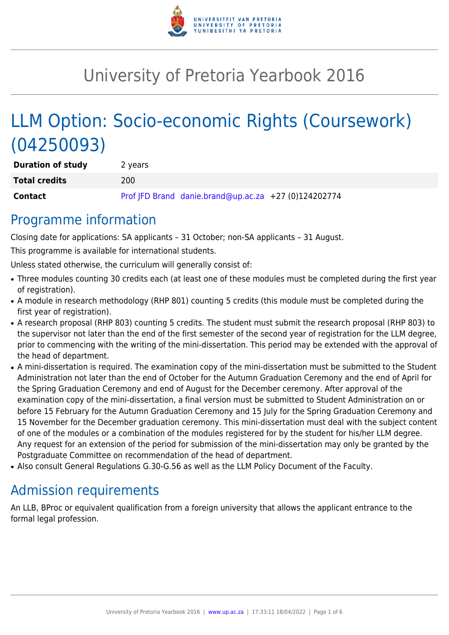

# University of Pretoria Yearbook 2016

# LLM Option: Socio-economic Rights (Coursework) (04250093)

| <b>Duration of study</b> | 2 years |                                                      |  |
|--------------------------|---------|------------------------------------------------------|--|
| <b>Total credits</b>     | 200     |                                                      |  |
| Contact                  |         | Prof JFD Brand danie.brand@up.ac.za +27 (0)124202774 |  |

### Programme information

Closing date for applications: SA applicants – 31 October; non-SA applicants – 31 August.

This programme is available for international students.

Unless stated otherwise, the curriculum will generally consist of:

- Three modules counting 30 credits each (at least one of these modules must be completed during the first year of registration).
- A module in research methodology (RHP 801) counting 5 credits (this module must be completed during the first year of registration).
- A research proposal (RHP 803) counting 5 credits. The student must submit the research proposal (RHP 803) to the supervisor not later than the end of the first semester of the second year of registration for the LLM degree, prior to commencing with the writing of the mini-dissertation. This period may be extended with the approval of the head of department.
- A mini-dissertation is required. The examination copy of the mini-dissertation must be submitted to the Student Administration not later than the end of October for the Autumn Graduation Ceremony and the end of April for the Spring Graduation Ceremony and end of August for the December ceremony. After approval of the examination copy of the mini-dissertation, a final version must be submitted to Student Administration on or before 15 February for the Autumn Graduation Ceremony and 15 July for the Spring Graduation Ceremony and 15 November for the December graduation ceremony. This mini-dissertation must deal with the subject content of one of the modules or a combination of the modules registered for by the student for his/her LLM degree. Any request for an extension of the period for submission of the mini-dissertation may only be granted by the Postgraduate Committee on recommendation of the head of department.
- Also consult General Regulations G.30-G.56 as well as the LLM Policy Document of the Faculty.

## Admission requirements

An LLB, BProc or equivalent qualification from a foreign university that allows the applicant entrance to the formal legal profession.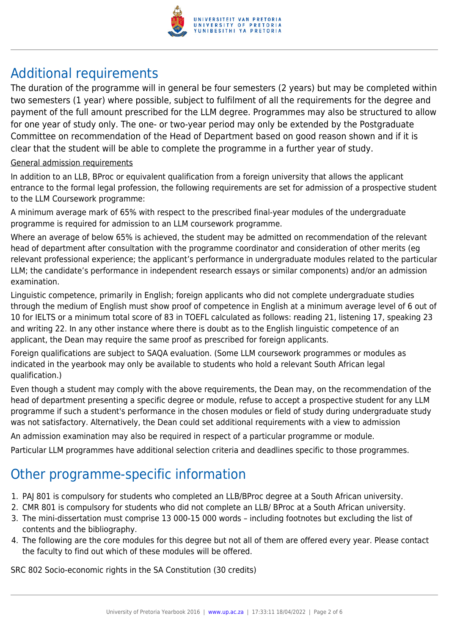

# Additional requirements

The duration of the programme will in general be four semesters (2 years) but may be completed within two semesters (1 year) where possible, subject to fulfilment of all the requirements for the degree and payment of the full amount prescribed for the LLM degree. Programmes may also be structured to allow for one year of study only. The one- or two-year period may only be extended by the Postgraduate Committee on recommendation of the Head of Department based on good reason shown and if it is clear that the student will be able to complete the programme in a further year of study.

#### General admission requirements

In addition to an LLB, BProc or equivalent qualification from a foreign university that allows the applicant entrance to the formal legal profession, the following requirements are set for admission of a prospective student to the LLM Coursework programme:

A minimum average mark of 65% with respect to the prescribed final-year modules of the undergraduate programme is required for admission to an LLM coursework programme.

Where an average of below 65% is achieved, the student may be admitted on recommendation of the relevant head of department after consultation with the programme coordinator and consideration of other merits (eg relevant professional experience; the applicant's performance in undergraduate modules related to the particular LLM; the candidate's performance in independent research essays or similar components) and/or an admission examination.

Linguistic competence, primarily in English; foreign applicants who did not complete undergraduate studies through the medium of English must show proof of competence in English at a minimum average level of 6 out of 10 for IELTS or a minimum total score of 83 in TOEFL calculated as follows: reading 21, listening 17, speaking 23 and writing 22. In any other instance where there is doubt as to the English linguistic competence of an applicant, the Dean may require the same proof as prescribed for foreign applicants.

Foreign qualifications are subject to SAQA evaluation. (Some LLM coursework programmes or modules as indicated in the yearbook may only be available to students who hold a relevant South African legal qualification.)

Even though a student may comply with the above requirements, the Dean may, on the recommendation of the head of department presenting a specific degree or module, refuse to accept a prospective student for any LLM programme if such a student's performance in the chosen modules or field of study during undergraduate study was not satisfactory. Alternatively, the Dean could set additional requirements with a view to admission

An admission examination may also be required in respect of a particular programme or module.

Particular LLM programmes have additional selection criteria and deadlines specific to those programmes.

### Other programme-specific information

- 1. PAJ 801 is compulsory for students who completed an LLB/BProc degree at a South African university.
- 2. CMR 801 is compulsory for students who did not complete an LLB/ BProc at a South African university.
- 3. The mini-dissertation must comprise 13 000-15 000 words including footnotes but excluding the list of contents and the bibliography.
- 4. The following are the core modules for this degree but not all of them are offered every year. Please contact the faculty to find out which of these modules will be offered.

SRC 802 Socio-economic rights in the SA Constitution (30 credits)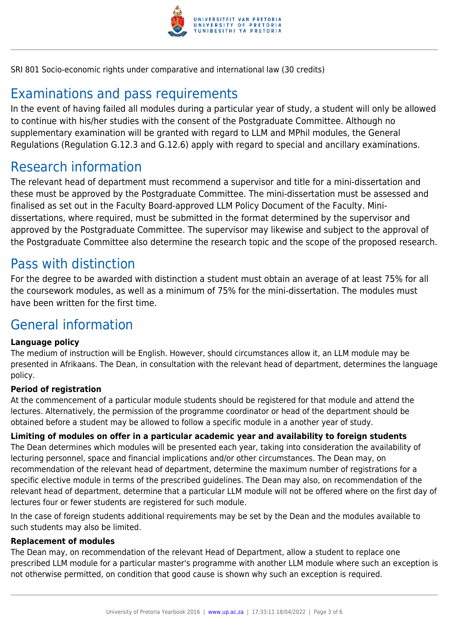

SRI 801 Socio-economic rights under comparative and international law (30 credits)

# Examinations and pass requirements

In the event of having failed all modules during a particular year of study, a student will only be allowed to continue with his/her studies with the consent of the Postgraduate Committee. Although no supplementary examination will be granted with regard to LLM and MPhil modules, the General Regulations (Regulation G.12.3 and G.12.6) apply with regard to special and ancillary examinations.

### Research information

The relevant head of department must recommend a supervisor and title for a mini-dissertation and these must be approved by the Postgraduate Committee. The mini-dissertation must be assessed and finalised as set out in the Faculty Board-approved LLM Policy Document of the Faculty. Minidissertations, where required, must be submitted in the format determined by the supervisor and approved by the Postgraduate Committee. The supervisor may likewise and subject to the approval of the Postgraduate Committee also determine the research topic and the scope of the proposed research.

### Pass with distinction

For the degree to be awarded with distinction a student must obtain an average of at least 75% for all the coursework modules, as well as a minimum of 75% for the mini-dissertation. The modules must have been written for the first time.

## General information

#### **Language policy**

The medium of instruction will be English. However, should circumstances allow it, an LLM module may be presented in Afrikaans. The Dean, in consultation with the relevant head of department, determines the language policy.

#### **Period of registration**

At the commencement of a particular module students should be registered for that module and attend the lectures. Alternatively, the permission of the programme coordinator or head of the department should be obtained before a student may be allowed to follow a specific module in a another year of study.

**Limiting of modules on offer in a particular academic year and availability to foreign students** The Dean determines which modules will be presented each year, taking into consideration the availability of lecturing personnel, space and financial implications and/or other circumstances. The Dean may, on recommendation of the relevant head of department, determine the maximum number of registrations for a specific elective module in terms of the prescribed guidelines. The Dean may also, on recommendation of the relevant head of department, determine that a particular LLM module will not be offered where on the first day of lectures four or fewer students are registered for such module.

In the case of foreign students additional requirements may be set by the Dean and the modules available to such students may also be limited.

#### **Replacement of modules**

The Dean may, on recommendation of the relevant Head of Department, allow a student to replace one prescribed LLM module for a particular master's programme with another LLM module where such an exception is not otherwise permitted, on condition that good cause is shown why such an exception is required.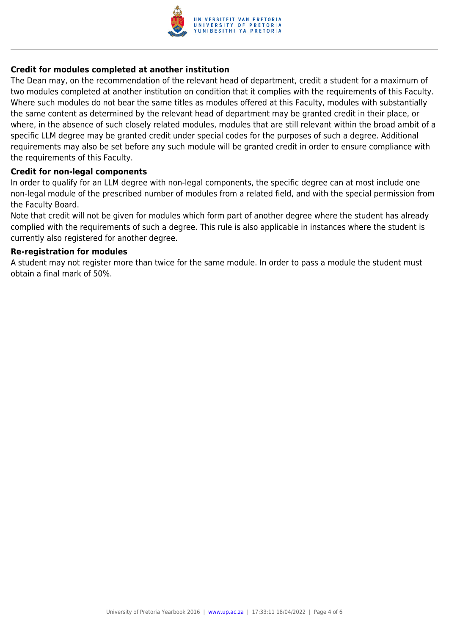

#### **Credit for modules completed at another institution**

The Dean may, on the recommendation of the relevant head of department, credit a student for a maximum of two modules completed at another institution on condition that it complies with the requirements of this Faculty. Where such modules do not bear the same titles as modules offered at this Faculty, modules with substantially the same content as determined by the relevant head of department may be granted credit in their place, or where, in the absence of such closely related modules, modules that are still relevant within the broad ambit of a specific LLM degree may be granted credit under special codes for the purposes of such a degree. Additional requirements may also be set before any such module will be granted credit in order to ensure compliance with the requirements of this Faculty.

#### **Credit for non-legal components**

In order to qualify for an LLM degree with non-legal components, the specific degree can at most include one non-legal module of the prescribed number of modules from a related field, and with the special permission from the Faculty Board.

Note that credit will not be given for modules which form part of another degree where the student has already complied with the requirements of such a degree. This rule is also applicable in instances where the student is currently also registered for another degree.

#### **Re-registration for modules**

A student may not register more than twice for the same module. In order to pass a module the student must obtain a final mark of 50%.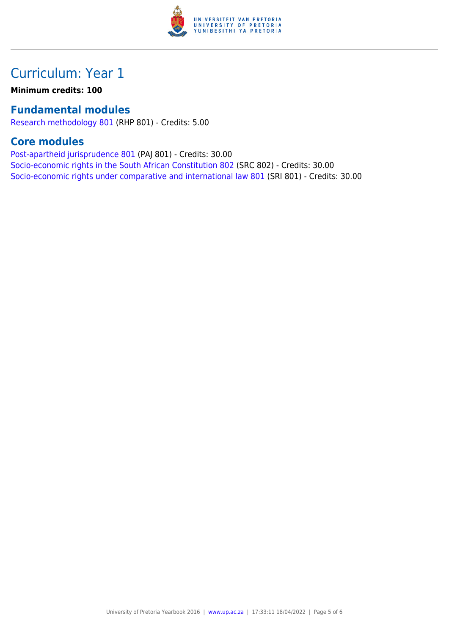

### Curriculum: Year 1

**Minimum credits: 100**

### **Fundamental modules**

[Research methodology 801](https://www.up.ac.za/parents/yearbooks/2016/modules/view/RHP 801) (RHP 801) - Credits: 5.00

### **Core modules**

[Post-apartheid jurisprudence 801](https://www.up.ac.za/parents/yearbooks/2016/modules/view/PAJ 801) (PAJ 801) - Credits: 30.00 [Socio-economic rights in the South African Constitution 802](https://www.up.ac.za/parents/yearbooks/2016/modules/view/SRC 802) (SRC 802) - Credits: 30.00 [Socio-economic rights under comparative and international law 801](https://www.up.ac.za/parents/yearbooks/2016/modules/view/SRI 801) (SRI 801) - Credits: 30.00